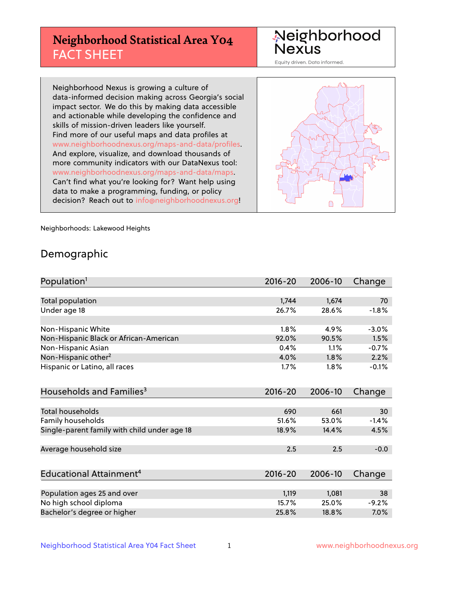# **Neighborhood Statistical Area Y04** FACT SHEET

Neighborhood Nexus

Equity driven. Data informed.

Neighborhood Nexus is growing a culture of data-informed decision making across Georgia's social impact sector. We do this by making data accessible and actionable while developing the confidence and skills of mission-driven leaders like yourself. Find more of our useful maps and data profiles at www.neighborhoodnexus.org/maps-and-data/profiles. And explore, visualize, and download thousands of more community indicators with our DataNexus tool: www.neighborhoodnexus.org/maps-and-data/maps. Can't find what you're looking for? Want help using data to make a programming, funding, or policy decision? Reach out to [info@neighborhoodnexus.org!](mailto:info@neighborhoodnexus.org)



Neighborhoods: Lakewood Heights

### Demographic

| Population <sup>1</sup>                      | $2016 - 20$ | 2006-10 | Change  |
|----------------------------------------------|-------------|---------|---------|
|                                              |             |         |         |
| Total population                             | 1,744       | 1,674   | 70      |
| Under age 18                                 | 26.7%       | 28.6%   | $-1.8%$ |
|                                              |             |         |         |
| Non-Hispanic White                           | 1.8%        | 4.9%    | $-3.0%$ |
| Non-Hispanic Black or African-American       | 92.0%       | 90.5%   | 1.5%    |
| Non-Hispanic Asian                           | 0.4%        | 1.1%    | $-0.7%$ |
| Non-Hispanic other <sup>2</sup>              | 4.0%        | 1.8%    | 2.2%    |
| Hispanic or Latino, all races                | 1.7%        | 1.8%    | $-0.1%$ |
|                                              |             |         |         |
| Households and Families <sup>3</sup>         | $2016 - 20$ | 2006-10 | Change  |
|                                              |             |         |         |
| <b>Total households</b>                      | 690         | 661     | 30      |
| Family households                            | 51.6%       | 53.0%   | $-1.4%$ |
| Single-parent family with child under age 18 | 18.9%       | 14.4%   | 4.5%    |
|                                              |             |         |         |
| Average household size                       | 2.5         | 2.5     | $-0.0$  |
|                                              |             |         |         |
| Educational Attainment <sup>4</sup>          | 2016-20     | 2006-10 | Change  |
|                                              |             |         |         |
| Population ages 25 and over                  | 1,119       | 1,081   | 38      |
| No high school diploma                       | 15.7%       | 25.0%   | $-9.2%$ |
| Bachelor's degree or higher                  | 25.8%       | 18.8%   | 7.0%    |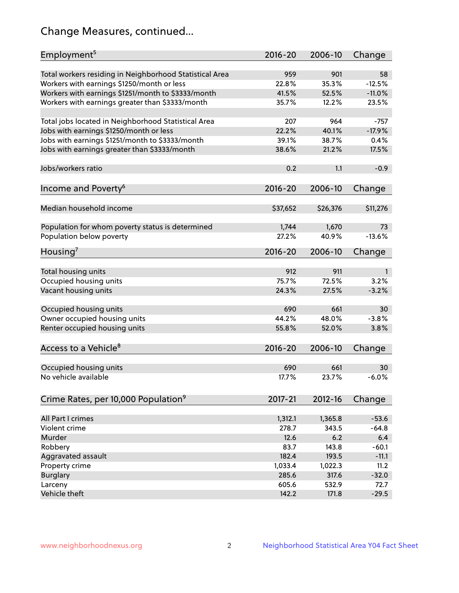# Change Measures, continued...

| Employment <sup>5</sup>                                 | $2016 - 20$ | 2006-10  | Change   |
|---------------------------------------------------------|-------------|----------|----------|
| Total workers residing in Neighborhood Statistical Area | 959         | 901      | 58       |
| Workers with earnings \$1250/month or less              | 22.8%       | 35.3%    | $-12.5%$ |
| Workers with earnings \$1251/month to \$3333/month      | 41.5%       | 52.5%    | $-11.0%$ |
| Workers with earnings greater than \$3333/month         | 35.7%       | 12.2%    | 23.5%    |
|                                                         |             |          |          |
| Total jobs located in Neighborhood Statistical Area     | 207         | 964      | $-757$   |
| Jobs with earnings \$1250/month or less                 | 22.2%       | 40.1%    | $-17.9%$ |
| Jobs with earnings \$1251/month to \$3333/month         | 39.1%       | 38.7%    | 0.4%     |
| Jobs with earnings greater than \$3333/month            | 38.6%       | 21.2%    | 17.5%    |
|                                                         |             |          |          |
| Jobs/workers ratio                                      | 0.2         | 1.1      | $-0.9$   |
|                                                         |             |          |          |
| Income and Poverty <sup>6</sup>                         | $2016 - 20$ | 2006-10  | Change   |
|                                                         |             |          |          |
| Median household income                                 | \$37,652    | \$26,376 | \$11,276 |
|                                                         |             |          |          |
| Population for whom poverty status is determined        | 1,744       | 1,670    | 73       |
| Population below poverty                                | 27.2%       | 40.9%    | $-13.6%$ |
| Housing $'$                                             | $2016 - 20$ | 2006-10  | Change   |
|                                                         |             |          |          |
| Total housing units                                     | 912         | 911      | 1        |
| Occupied housing units                                  | 75.7%       | 72.5%    | 3.2%     |
| Vacant housing units                                    | 24.3%       | 27.5%    | $-3.2%$  |
|                                                         |             |          |          |
| Occupied housing units                                  | 690         | 661      | 30       |
| Owner occupied housing units                            | 44.2%       | 48.0%    | $-3.8%$  |
| Renter occupied housing units                           | 55.8%       | 52.0%    | 3.8%     |
|                                                         |             |          |          |
| Access to a Vehicle <sup>8</sup>                        | $2016 - 20$ | 2006-10  | Change   |
|                                                         |             |          |          |
| Occupied housing units                                  | 690         | 661      | 30       |
| No vehicle available                                    | 17.7%       | 23.7%    | $-6.0%$  |
|                                                         |             |          |          |
| Crime Rates, per 10,000 Population <sup>9</sup>         | 2017-21     | 2012-16  | Change   |
|                                                         |             |          |          |
| All Part I crimes                                       | 1,312.1     | 1,365.8  | $-53.6$  |
| Violent crime                                           | 278.7       | 343.5    | $-64.8$  |
| <b>Murder</b>                                           | 12.6        | 6.2      | 6.4      |
| Robbery                                                 | 83.7        | 143.8    | $-60.1$  |
| Aggravated assault                                      | 182.4       | 193.5    | $-11.1$  |
| Property crime                                          | 1,033.4     | 1,022.3  | 11.2     |
| <b>Burglary</b>                                         | 285.6       | 317.6    | $-32.0$  |
| Larceny                                                 | 605.6       | 532.9    | 72.7     |
| Vehicle theft                                           | 142.2       | 171.8    | $-29.5$  |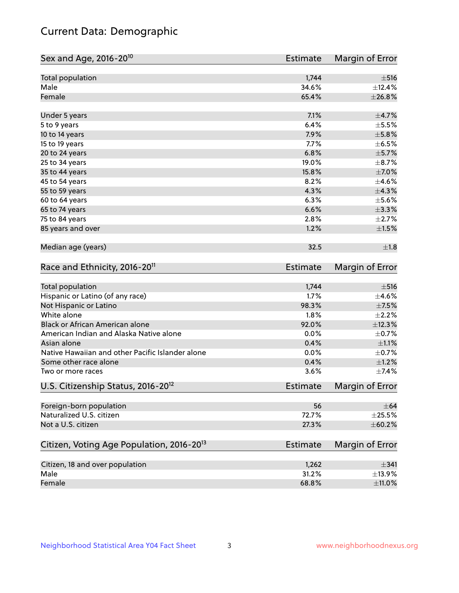# Current Data: Demographic

| Sex and Age, 2016-20 <sup>10</sup>                    | Estimate        | Margin of Error |
|-------------------------------------------------------|-----------------|-----------------|
| Total population                                      | 1,744           | $\pm$ 516       |
| Male                                                  | 34.6%           | ±12.4%          |
| Female                                                | 65.4%           | ±26.8%          |
| Under 5 years                                         | 7.1%            | $\pm$ 4.7%      |
| 5 to 9 years                                          | 6.4%            | $\pm$ 5.5%      |
| 10 to 14 years                                        | 7.9%            | $\pm$ 5.8%      |
| 15 to 19 years                                        | 7.7%            | $\pm$ 6.5%      |
| 20 to 24 years                                        | 6.8%            | $\pm$ 5.7%      |
| 25 to 34 years                                        | 19.0%           | $\pm$ 8.7%      |
| 35 to 44 years                                        | 15.8%           | $\pm$ 7.0%      |
| 45 to 54 years                                        | 8.2%            | $\pm$ 4.6%      |
| 55 to 59 years                                        | 4.3%            | ±4.3%           |
| 60 to 64 years                                        | 6.3%            | $\pm$ 5.6%      |
| 65 to 74 years                                        | 6.6%            | $\pm$ 3.3%      |
| 75 to 84 years                                        | 2.8%            | $\pm 2.7\%$     |
| 85 years and over                                     | 1.2%            | $\pm 1.5\%$     |
| Median age (years)                                    | 32.5            | ±1.8            |
| Race and Ethnicity, 2016-20 <sup>11</sup>             | <b>Estimate</b> | Margin of Error |
| Total population                                      | 1,744           | $\pm$ 516       |
| Hispanic or Latino (of any race)                      | 1.7%            | $\pm$ 4.6%      |
| Not Hispanic or Latino                                | 98.3%           | $\pm$ 7.5%      |
| White alone                                           | 1.8%            | $\pm 2.2\%$     |
| Black or African American alone                       | 92.0%           | ±12.3%          |
| American Indian and Alaska Native alone               | 0.0%            | $\pm$ 0.7%      |
| Asian alone                                           | 0.4%            | $\pm 1.1\%$     |
| Native Hawaiian and other Pacific Islander alone      | 0.0%            | $\pm$ 0.7%      |
| Some other race alone                                 | 0.4%            | $\pm 1.2\%$     |
| Two or more races                                     | 3.6%            | $\pm$ 7.4%      |
| U.S. Citizenship Status, 2016-20 <sup>12</sup>        | Estimate        | Margin of Error |
| Foreign-born population                               | 56              | $\pm$ 64        |
| Naturalized U.S. citizen                              | 72.7%           | $\pm 25.5\%$    |
| Not a U.S. citizen                                    | 27.3%           | ± 60.2%         |
| Citizen, Voting Age Population, 2016-20 <sup>13</sup> | Estimate        | Margin of Error |
| Citizen, 18 and over population                       | 1,262           | $\pm$ 341       |
| Male                                                  | 31.2%           | ±13.9%          |
| Female                                                | 68.8%           | $\pm$ 11.0%     |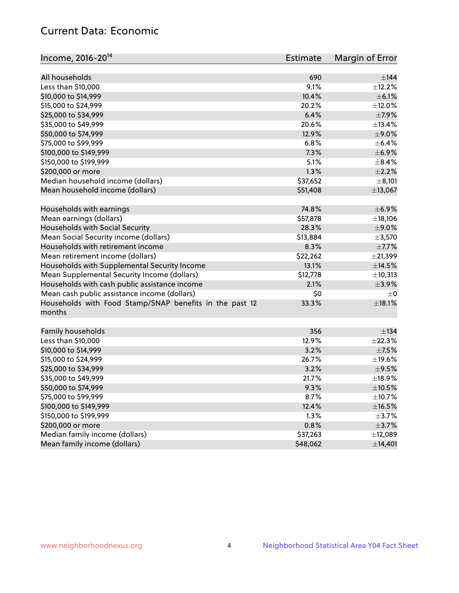# Current Data: Economic

| Income, 2016-20 <sup>14</sup>                                     | Estimate | Margin of Error |
|-------------------------------------------------------------------|----------|-----------------|
| All households                                                    | 690      | $\pm$ 144       |
| Less than \$10,000                                                | 9.1%     | ±12.2%          |
| \$10,000 to \$14,999                                              | 10.4%    | $\pm$ 6.1%      |
| \$15,000 to \$24,999                                              | 20.2%    | $\pm$ 12.0%     |
| \$25,000 to \$34,999                                              | 6.4%     | $\pm$ 7.9%      |
|                                                                   |          |                 |
| \$35,000 to \$49,999                                              | 20.6%    | ±13.4%          |
| \$50,000 to \$74,999                                              | 12.9%    | $\pm$ 9.0%      |
| \$75,000 to \$99,999                                              | 6.8%     | $\pm$ 6.4%      |
| \$100,000 to \$149,999                                            | 7.3%     | $\pm$ 6.9%      |
| \$150,000 to \$199,999                                            | 5.1%     | $\pm$ 8.4%      |
| \$200,000 or more                                                 | 1.3%     | $\pm 2.2\%$     |
| Median household income (dollars)                                 | \$37,652 | ±8,101          |
| Mean household income (dollars)                                   | \$51,408 | ±13,067         |
| Households with earnings                                          | 74.8%    | $\pm$ 6.9%      |
| Mean earnings (dollars)                                           | \$57,878 | ±18,106         |
| Households with Social Security                                   | 28.3%    | $\pm$ 9.0%      |
| Mean Social Security income (dollars)                             | \$13,884 | ±3,570          |
| Households with retirement income                                 | 8.3%     | $\pm$ 7.7%      |
| Mean retirement income (dollars)                                  | \$22,262 | ±21,399         |
| Households with Supplemental Security Income                      | 13.1%    | ±14.5%          |
| Mean Supplemental Security Income (dollars)                       | \$12,778 | ±10,313         |
| Households with cash public assistance income                     | 2.1%     | $\pm$ 3.9%      |
| Mean cash public assistance income (dollars)                      | \$0      | $\pm 0$         |
| Households with Food Stamp/SNAP benefits in the past 12<br>months | 33.3%    | $\pm$ 18.1%     |
| Family households                                                 | 356      | $\pm$ 134       |
| Less than \$10,000                                                | 12.9%    | ±22.3%          |
| \$10,000 to \$14,999                                              | 3.2%     | $\pm$ 7.5%      |
| \$15,000 to \$24,999                                              | 26.7%    | $\pm$ 19.6%     |
| \$25,000 to \$34,999                                              | 3.2%     | $\pm$ 9.5%      |
| \$35,000 to \$49,999                                              | 21.7%    | ±18.9%          |
| \$50,000 to \$74,999                                              | 9.3%     | $\pm$ 10.5%     |
| \$75,000 to \$99,999                                              | 8.7%     | ±10.7%          |
| \$100,000 to \$149,999                                            | 12.4%    | $\pm$ 16.5%     |
| \$150,000 to \$199,999                                            | 1.3%     | $\pm$ 3.7%      |
| \$200,000 or more                                                 | 0.8%     | $\pm$ 3.7%      |
| Median family income (dollars)                                    | \$37,263 | ±12,089         |
| Mean family income (dollars)                                      | \$48,062 | ±14,401         |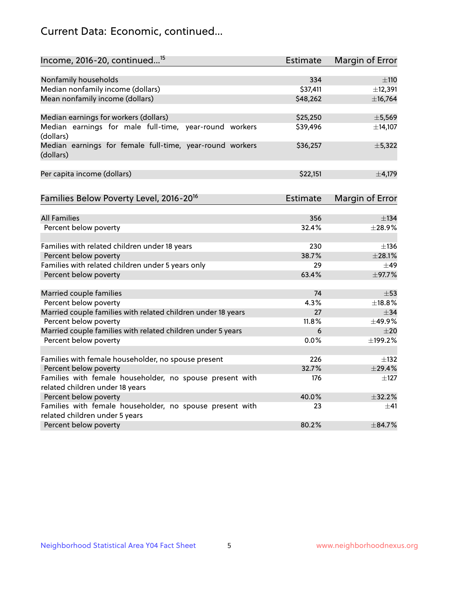# Current Data: Economic, continued...

| Income, 2016-20, continued <sup>15</sup>                                                   | <b>Estimate</b> | Margin of Error        |
|--------------------------------------------------------------------------------------------|-----------------|------------------------|
|                                                                                            |                 |                        |
| Nonfamily households                                                                       | 334<br>\$37,411 | $\pm$ 110<br>±12,391   |
| Median nonfamily income (dollars)                                                          |                 |                        |
| Mean nonfamily income (dollars)                                                            | \$48,262        | ±16,764                |
| Median earnings for workers (dollars)                                                      | \$25,250        | ±5,569                 |
| Median earnings for male full-time, year-round workers<br>(dollars)                        | \$39,496        | ±14,107                |
| Median earnings for female full-time, year-round workers<br>(dollars)                      | \$36,257        | ±5,322                 |
| Per capita income (dollars)                                                                | \$22,151        | $\pm$ 4,179            |
| Families Below Poverty Level, 2016-20 <sup>16</sup>                                        | <b>Estimate</b> | <b>Margin of Error</b> |
|                                                                                            |                 |                        |
| <b>All Families</b>                                                                        | 356             | $\pm$ 134              |
| Percent below poverty                                                                      | 32.4%           | ±28.9%                 |
| Families with related children under 18 years                                              | 230             | $\pm$ 136              |
| Percent below poverty                                                                      | 38.7%           | ±28.1%                 |
| Families with related children under 5 years only                                          | 29              | $\pm$ 49               |
| Percent below poverty                                                                      | 63.4%           | ±97.7%                 |
| Married couple families                                                                    | 74              | $\pm$ 53               |
| Percent below poverty                                                                      | 4.3%            | ±18.8%                 |
| Married couple families with related children under 18 years                               | 27              | $\pm$ 34               |
| Percent below poverty                                                                      | 11.8%           | ±49.9%                 |
| Married couple families with related children under 5 years                                | 6               | $\pm 20$               |
| Percent below poverty                                                                      | 0.0%            | ±199.2%                |
|                                                                                            |                 |                        |
| Families with female householder, no spouse present                                        | 226             | $\pm$ 132              |
| Percent below poverty                                                                      | 32.7%           | ±29.4%                 |
| Families with female householder, no spouse present with                                   | 176             | $\pm$ 127              |
| related children under 18 years                                                            |                 |                        |
| Percent below poverty                                                                      | 40.0%           | $+32.2%$               |
| Families with female householder, no spouse present with<br>related children under 5 years | 23              | $\pm$ 41               |
| Percent below poverty                                                                      | 80.2%           | $\pm$ 84.7%            |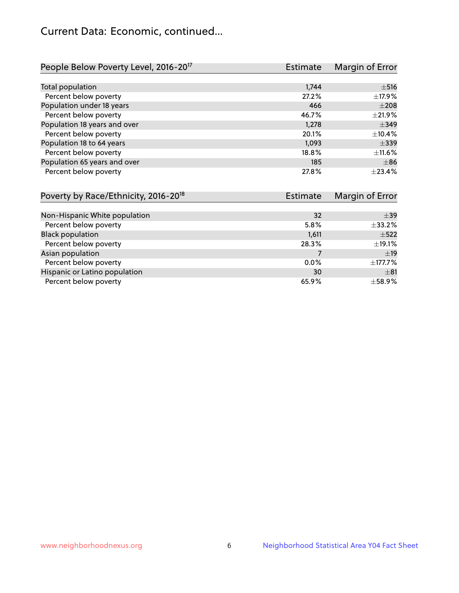# Current Data: Economic, continued...

| People Below Poverty Level, 2016-20 <sup>17</sup> | <b>Estimate</b> | Margin of Error |
|---------------------------------------------------|-----------------|-----------------|
|                                                   |                 |                 |
| Total population                                  | 1,744           | $\pm$ 516       |
| Percent below poverty                             | 27.2%           | ±17.9%          |
| Population under 18 years                         | 466             | $\pm 208$       |
| Percent below poverty                             | 46.7%           | $\pm 21.9\%$    |
| Population 18 years and over                      | 1.278           | $\pm$ 349       |
| Percent below poverty                             | 20.1%           | ±10.4%          |
| Population 18 to 64 years                         | 1,093           | $\pm$ 339       |
| Percent below poverty                             | 18.8%           | $\pm$ 11.6%     |
| Population 65 years and over                      | 185             | $\pm$ 86        |
| Percent below poverty                             | 27.8%           | ±23.4%          |

| Poverty by Race/Ethnicity, 2016-20 <sup>18</sup> | <b>Estimate</b> | Margin of Error |
|--------------------------------------------------|-----------------|-----------------|
|                                                  |                 |                 |
| Non-Hispanic White population                    | 32              | $\pm$ 39        |
| Percent below poverty                            | 5.8%            | ±33.2%          |
| <b>Black population</b>                          | 1,611           | $\pm$ 522       |
| Percent below poverty                            | 28.3%           | ±19.1%          |
| Asian population                                 |                 | ±19             |
| Percent below poverty                            | $0.0\%$         | ±177.7%         |
| Hispanic or Latino population                    | 30              | $\pm$ 81        |
| Percent below poverty                            | 65.9%           | $\pm$ 58.9%     |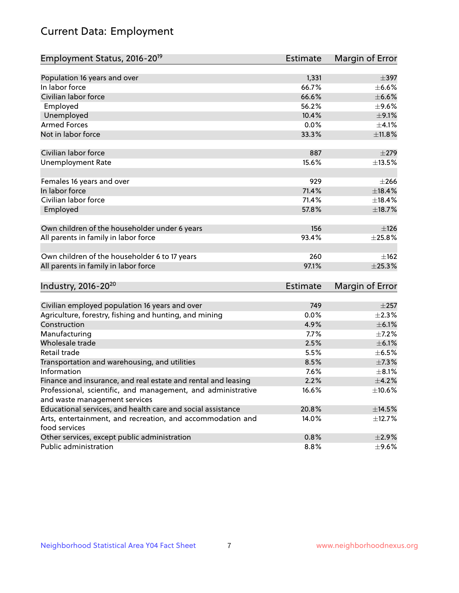# Current Data: Employment

| Employment Status, 2016-20 <sup>19</sup>                      | <b>Estimate</b> | Margin of Error |
|---------------------------------------------------------------|-----------------|-----------------|
|                                                               |                 |                 |
| Population 16 years and over                                  | 1,331           | $\pm$ 397       |
| In labor force                                                | 66.7%           | $\pm$ 6.6%      |
| Civilian labor force                                          | 66.6%           | $\pm$ 6.6%      |
| Employed                                                      | 56.2%           | $\pm$ 9.6%      |
| Unemployed                                                    | 10.4%           | $\pm$ 9.1%      |
| <b>Armed Forces</b>                                           | 0.0%            | $\pm 4.1\%$     |
| Not in labor force                                            | 33.3%           | ±11.8%          |
| Civilian labor force                                          | 887             | ±279            |
| <b>Unemployment Rate</b>                                      | 15.6%           | ±13.5%          |
|                                                               |                 |                 |
| Females 16 years and over                                     | 929             | $\pm 266$       |
| In labor force                                                | 71.4%           | $\pm$ 18.4%     |
| Civilian labor force                                          | 71.4%           | ±18.4%          |
| Employed                                                      | 57.8%           | ±18.7%          |
|                                                               | 156             |                 |
| Own children of the householder under 6 years                 |                 | ±126            |
| All parents in family in labor force                          | 93.4%           | ±25.8%          |
| Own children of the householder 6 to 17 years                 | 260             | ±162            |
| All parents in family in labor force                          | 97.1%           | ±25.3%          |
|                                                               |                 |                 |
| Industry, 2016-20 <sup>20</sup>                               | <b>Estimate</b> | Margin of Error |
| Civilian employed population 16 years and over                | 749             | $\pm 257$       |
| Agriculture, forestry, fishing and hunting, and mining        | 0.0%            | $\pm 2.3\%$     |
| Construction                                                  | 4.9%            | $\pm$ 6.1%      |
| Manufacturing                                                 | 7.7%            | $\pm$ 7.2%      |
| Wholesale trade                                               | 2.5%            | $\pm$ 6.1%      |
| Retail trade                                                  | 5.5%            | $\pm$ 6.5%      |
| Transportation and warehousing, and utilities                 | 8.5%            | $\pm$ 7.3%      |
| Information                                                   | 7.6%            | $\pm$ 8.1%      |
| Finance and insurance, and real estate and rental and leasing | 2.2%            | $\pm$ 4.2%      |
| Professional, scientific, and management, and administrative  | 16.6%           | $\pm 10.6\%$    |
| and waste management services                                 |                 |                 |
| Educational services, and health care and social assistance   | 20.8%           | $\pm$ 14.5%     |
| Arts, entertainment, and recreation, and accommodation and    | 14.0%           | ±12.7%          |
| food services                                                 |                 |                 |
| Other services, except public administration                  | 0.8%            | $\pm 2.9\%$     |
| Public administration                                         | 8.8%            | $\pm$ 9.6%      |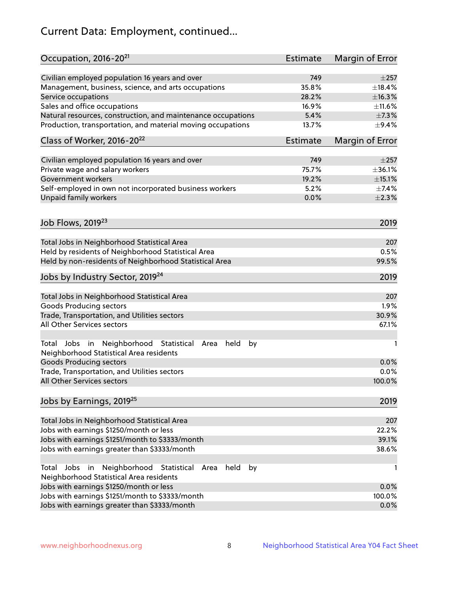# Current Data: Employment, continued...

| Occupation, 2016-20 <sup>21</sup>                                                                       | <b>Estimate</b> | Margin of Error |
|---------------------------------------------------------------------------------------------------------|-----------------|-----------------|
| Civilian employed population 16 years and over                                                          | 749             | $\pm 257$       |
| Management, business, science, and arts occupations                                                     | 35.8%           | ±18.4%          |
| Service occupations                                                                                     | 28.2%           | ±16.3%          |
| Sales and office occupations                                                                            | 16.9%           | ±11.6%          |
| Natural resources, construction, and maintenance occupations                                            | 5.4%            | $\pm$ 7.3%      |
| Production, transportation, and material moving occupations                                             | 13.7%           | $\pm$ 9.4%      |
| Class of Worker, 2016-20 <sup>22</sup>                                                                  | <b>Estimate</b> | Margin of Error |
| Civilian employed population 16 years and over                                                          | 749             | $\pm 257$       |
| Private wage and salary workers                                                                         | 75.7%           | ±36.1%          |
| Government workers                                                                                      | 19.2%           | ±15.1%          |
| Self-employed in own not incorporated business workers                                                  | 5.2%            | $\pm$ 7.4%      |
| Unpaid family workers                                                                                   | 0.0%            | $\pm 2.3\%$     |
|                                                                                                         |                 |                 |
| Job Flows, 2019 <sup>23</sup>                                                                           |                 | 2019            |
| Total Jobs in Neighborhood Statistical Area                                                             |                 | 207             |
| Held by residents of Neighborhood Statistical Area                                                      |                 | 0.5%            |
| Held by non-residents of Neighborhood Statistical Area                                                  |                 | 99.5%           |
| Jobs by Industry Sector, 2019 <sup>24</sup>                                                             |                 | 2019            |
| Total Jobs in Neighborhood Statistical Area                                                             |                 | 207             |
| <b>Goods Producing sectors</b>                                                                          |                 | 1.9%            |
| Trade, Transportation, and Utilities sectors                                                            |                 | 30.9%           |
| All Other Services sectors                                                                              |                 | 67.1%           |
| Total Jobs in Neighborhood Statistical<br>held<br>by<br>Area<br>Neighborhood Statistical Area residents |                 | 1               |
| <b>Goods Producing sectors</b>                                                                          |                 | 0.0%            |
| Trade, Transportation, and Utilities sectors                                                            |                 | 0.0%            |
| All Other Services sectors                                                                              |                 | 100.0%          |
| Jobs by Earnings, 2019 <sup>25</sup>                                                                    |                 | 2019            |
| Total Jobs in Neighborhood Statistical Area                                                             |                 | 207             |
| Jobs with earnings \$1250/month or less                                                                 |                 | 22.2%           |
| Jobs with earnings \$1251/month to \$3333/month                                                         |                 | 39.1%           |
| Jobs with earnings greater than \$3333/month                                                            |                 | 38.6%           |
| Neighborhood Statistical<br>Jobs<br>in<br>held<br>by<br>Total<br>Area                                   |                 | 1               |
| Neighborhood Statistical Area residents                                                                 |                 |                 |
| Jobs with earnings \$1250/month or less                                                                 |                 | 0.0%            |
| Jobs with earnings \$1251/month to \$3333/month                                                         |                 | 100.0%          |
| Jobs with earnings greater than \$3333/month                                                            |                 | 0.0%            |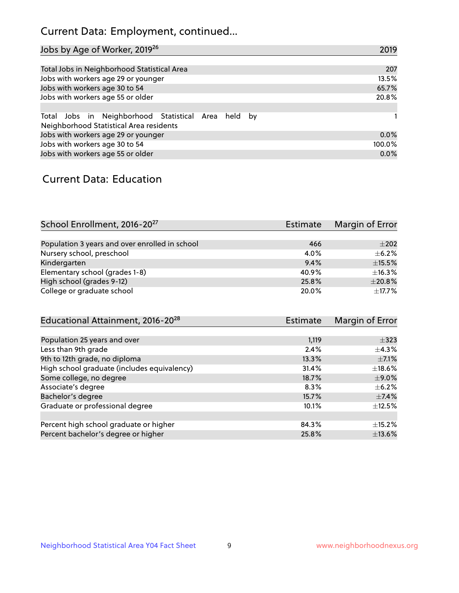# Current Data: Employment, continued...

| Jobs by Age of Worker, 2019 <sup>26</sup>                                                      | 2019   |
|------------------------------------------------------------------------------------------------|--------|
|                                                                                                |        |
| Total Jobs in Neighborhood Statistical Area                                                    | 207    |
| Jobs with workers age 29 or younger                                                            | 13.5%  |
| Jobs with workers age 30 to 54                                                                 | 65.7%  |
| Jobs with workers age 55 or older                                                              | 20.8%  |
|                                                                                                |        |
| Total Jobs in Neighborhood Statistical Area held by<br>Neighborhood Statistical Area residents |        |
| Jobs with workers age 29 or younger                                                            | 0.0%   |
| Jobs with workers age 30 to 54                                                                 | 100.0% |
| Jobs with workers age 55 or older                                                              | 0.0%   |

### Current Data: Education

| School Enrollment, 2016-20 <sup>27</sup>       | <b>Estimate</b> | Margin of Error |
|------------------------------------------------|-----------------|-----------------|
|                                                |                 |                 |
| Population 3 years and over enrolled in school | 466             | $\pm 202$       |
| Nursery school, preschool                      | 4.0%            | $\pm$ 6.2%      |
| Kindergarten                                   | 9.4%            | $\pm$ 15.5%     |
| Elementary school (grades 1-8)                 | 40.9%           | ±16.3%          |
| High school (grades 9-12)                      | 25.8%           | $\pm 20.8\%$    |
| College or graduate school                     | 20.0%           | $+17.7%$        |

| Estimate | Margin of Error |
|----------|-----------------|
|          |                 |
| 1,119    | $\pm$ 323       |
| 2.4%     | $\pm$ 4.3%      |
| 13.3%    | $\pm$ 7.1%      |
| 31.4%    | $\pm$ 18.6%     |
| 18.7%    | $\pm$ 9.0%      |
| 8.3%     | $\pm$ 6.2%      |
| 15.7%    | $\pm$ 7.4%      |
| 10.1%    | $\pm$ 12.5%     |
|          |                 |
| 84.3%    | $+15.2%$        |
| 25.8%    | ±13.6%          |
|          |                 |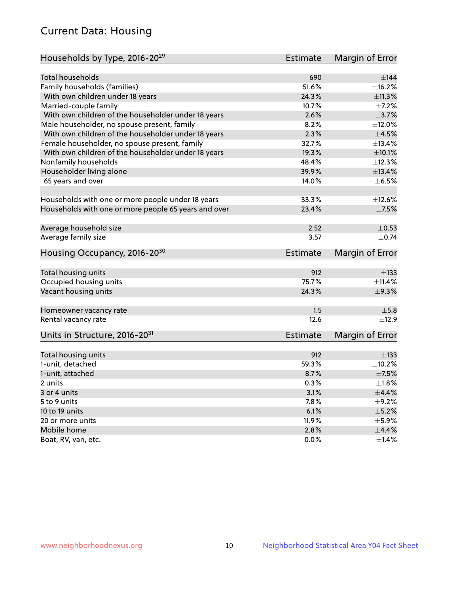# Current Data: Housing

| Households by Type, 2016-20 <sup>29</sup>            | <b>Estimate</b> | Margin of Error |
|------------------------------------------------------|-----------------|-----------------|
|                                                      |                 |                 |
| Total households                                     | 690             | $\pm$ 144       |
| Family households (families)                         | 51.6%           | ±16.2%          |
| With own children under 18 years                     | 24.3%           | $\pm$ 11.3%     |
| Married-couple family                                | 10.7%           | $\pm$ 7.2%      |
| With own children of the householder under 18 years  | 2.6%            | $\pm$ 3.7%      |
| Male householder, no spouse present, family          | 8.2%            | ±12.0%          |
| With own children of the householder under 18 years  | 2.3%            | $\pm 4.5\%$     |
| Female householder, no spouse present, family        | 32.7%           | ±13.4%          |
| With own children of the householder under 18 years  | 19.3%           | $\pm 10.1\%$    |
| Nonfamily households                                 | 48.4%           | ±12.3%          |
| Householder living alone                             | 39.9%           | ±13.4%          |
| 65 years and over                                    | 14.0%           | $\pm$ 6.5%      |
|                                                      |                 |                 |
| Households with one or more people under 18 years    | 33.3%           | ±12.6%          |
| Households with one or more people 65 years and over | 23.4%           | $\pm$ 7.5%      |
|                                                      |                 |                 |
| Average household size                               | 2.52            | $\pm$ 0.53      |
| Average family size                                  | 3.57            | $\pm$ 0.74      |
| Housing Occupancy, 2016-20 <sup>30</sup>             | <b>Estimate</b> | Margin of Error |
|                                                      |                 |                 |
| Total housing units                                  | 912             | $\pm$ 133       |
| Occupied housing units                               | 75.7%           | ±11.4%          |
| Vacant housing units                                 | 24.3%           | $\pm$ 9.3%      |
| Homeowner vacancy rate                               | 1.5             | ±5.8            |
| Rental vacancy rate                                  | 12.6            | $\pm$ 12.9      |
| Units in Structure, 2016-20 <sup>31</sup>            | Estimate        | Margin of Error |
|                                                      |                 |                 |
| Total housing units                                  | 912             | $\pm$ 133       |
| 1-unit, detached                                     | 59.3%           | $\pm$ 10.2%     |
| 1-unit, attached                                     | 8.7%            | $\pm$ 7.5%      |
| 2 units                                              | 0.3%            | $\pm 1.8\%$     |
| 3 or 4 units                                         | 3.1%            | ±4.4%           |
| 5 to 9 units                                         | 7.8%            | $\pm$ 9.2%      |
| 10 to 19 units                                       | 6.1%            | $\pm$ 5.2%      |
| 20 or more units                                     | 11.9%           | $\pm$ 5.9%      |
| Mobile home                                          | 2.8%            | $\pm$ 4.4%      |
| Boat, RV, van, etc.                                  | $0.0\%$         | ±1.4%           |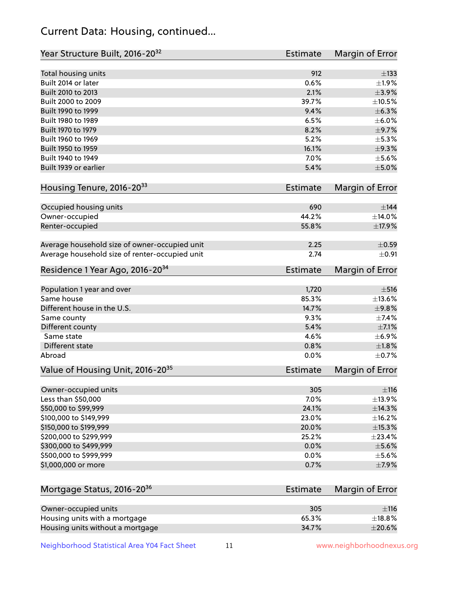# Current Data: Housing, continued...

| Year Structure Built, 2016-20 <sup>32</sup>    | Estimate        | Margin of Error |
|------------------------------------------------|-----------------|-----------------|
| Total housing units                            | 912             | $\pm$ 133       |
| Built 2014 or later                            | 0.6%            | ±1.9%           |
| Built 2010 to 2013                             | 2.1%            | $\pm$ 3.9%      |
| Built 2000 to 2009                             | 39.7%           | $\pm 10.5\%$    |
| Built 1990 to 1999                             | 9.4%            | ±6.3%           |
| Built 1980 to 1989                             | 6.5%            | $\pm$ 6.0%      |
| Built 1970 to 1979                             | 8.2%            | $\pm$ 9.7%      |
| Built 1960 to 1969                             | 5.2%            | $\pm$ 5.3%      |
| Built 1950 to 1959                             | 16.1%           | $\pm$ 9.3%      |
| Built 1940 to 1949                             | 7.0%            | $\pm$ 5.6%      |
| Built 1939 or earlier                          | 5.4%            | $\pm$ 5.0%      |
| Housing Tenure, 2016-2033                      | <b>Estimate</b> | Margin of Error |
| Occupied housing units                         | 690             | $\pm$ 144       |
| Owner-occupied                                 | 44.2%           | $\pm$ 14.0%     |
| Renter-occupied                                | 55.8%           | ±17.9%          |
| Average household size of owner-occupied unit  | 2.25            | $\pm$ 0.59      |
| Average household size of renter-occupied unit | 2.74            | $\pm 0.91$      |
| Residence 1 Year Ago, 2016-20 <sup>34</sup>    | Estimate        | Margin of Error |
| Population 1 year and over                     | 1,720           | $\pm$ 516       |
| Same house                                     | 85.3%           | ±13.6%          |
| Different house in the U.S.                    | 14.7%           | ±9.8%           |
| Same county                                    | 9.3%            | ±7.4%           |
| Different county                               | 5.4%            | $\pm$ 7.1%      |
| Same state                                     | 4.6%            | $\pm$ 6.9%      |
| Different state                                | 0.8%            | ±1.8%           |
| Abroad                                         | 0.0%            | $\pm$ 0.7%      |
| Value of Housing Unit, 2016-20 <sup>35</sup>   | <b>Estimate</b> | Margin of Error |
| Owner-occupied units                           | 305             | ±116            |
| Less than \$50,000                             | 7.0%            | ±13.9%          |
| \$50,000 to \$99,999                           | 24.1%           | ±14.3%          |
| \$100,000 to \$149,999                         | 23.0%           | ±16.2%          |
| \$150,000 to \$199,999                         | 20.0%           | $\pm$ 15.3%     |
| \$200,000 to \$299,999                         | 25.2%           | ±23.4%          |
| \$300,000 to \$499,999                         | 0.0%            | $\pm$ 5.6%      |
| \$500,000 to \$999,999                         | 0.0%            | $\pm$ 5.6%      |
| \$1,000,000 or more                            | 0.7%            | $\pm$ 7.9%      |
| Mortgage Status, 2016-20 <sup>36</sup>         | <b>Estimate</b> | Margin of Error |
| Owner-occupied units                           | 305             | ±116            |
| Housing units with a mortgage                  | 65.3%           | ±18.8%          |

Neighborhood Statistical Area Y04 Fact Sheet 11 11 www.neighborhoodnexus.org

Housing units without a mortgage  $\pm 20.6\%$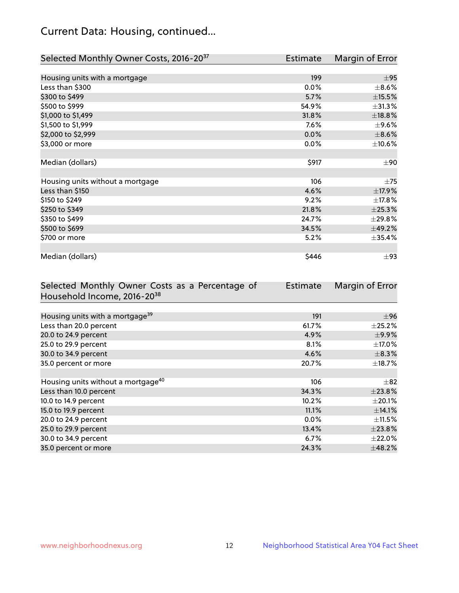# Current Data: Housing, continued...

| Selected Monthly Owner Costs, 2016-20 <sup>37</sup> | <b>Estimate</b> | Margin of Error |
|-----------------------------------------------------|-----------------|-----------------|
|                                                     |                 |                 |
| Housing units with a mortgage                       | 199             | $\pm$ 95        |
| Less than \$300                                     | 0.0%            | $\pm$ 8.6%      |
| \$300 to \$499                                      | 5.7%            | $\pm$ 15.5%     |
| \$500 to \$999                                      | 54.9%           | $\pm 31.3\%$    |
| \$1,000 to \$1,499                                  | 31.8%           | ±18.8%          |
| \$1,500 to \$1,999                                  | 7.6%            | $\pm$ 9.6%      |
| \$2,000 to \$2,999                                  | 0.0%            | $\pm$ 8.6%      |
| \$3,000 or more                                     | 0.0%            | $\pm 10.6\%$    |
|                                                     |                 |                 |
| Median (dollars)                                    | \$917           | $\pm 90$        |
|                                                     |                 |                 |
| Housing units without a mortgage                    | 106             | ±75             |
| Less than \$150                                     | 4.6%            | ±17.9%          |
| \$150 to \$249                                      | 9.2%            | ±17.8%          |
| \$250 to \$349                                      | 21.8%           | $\pm$ 25.3%     |
| \$350 to \$499                                      | 24.7%           | ±29.8%          |
| \$500 to \$699                                      | 34.5%           | ±49.2%          |
| \$700 or more                                       | 5.2%            | $\pm$ 35.4%     |
|                                                     |                 |                 |
| Median (dollars)                                    | \$446           | $\pm$ 93        |

| Selected Monthly Owner Costs as a Percentage of | <b>Estimate</b> | Margin of Error |
|-------------------------------------------------|-----------------|-----------------|
| Household Income, 2016-20 <sup>38</sup>         |                 |                 |
|                                                 |                 |                 |
| Housing units with a mortgage <sup>39</sup>     | 191             | $\pm 96$        |
| Less than 20.0 percent                          | 61.7%           | $\pm$ 25.2%     |
| 20.0 to 24.9 percent                            | 4.9%            | $\pm$ 9.9%      |
| 25.0 to 29.9 percent                            | 8.1%            | $\pm$ 17.0%     |
| 30.0 to 34.9 percent                            | 4.6%            | $\pm$ 8.3%      |
| 35.0 percent or more                            | 20.7%           | $\pm$ 18.7%     |
|                                                 |                 |                 |
| Housing units without a mortgage <sup>40</sup>  | 106             | $\pm$ 82        |
| Less than 10.0 percent                          | 34.3%           | ±23.8%          |
| 10.0 to 14.9 percent                            | 10.2%           | $\pm 20.1\%$    |
| 15.0 to 19.9 percent                            | 11.1%           | ±14.1%          |
| 20.0 to 24.9 percent                            | $0.0\%$         | $\pm$ 11.5%     |
| 25.0 to 29.9 percent                            | 13.4%           | ±23.8%          |
| 30.0 to 34.9 percent                            | $6.7\%$         | $\pm 22.0\%$    |
| 35.0 percent or more                            | 24.3%           | ±48.2%          |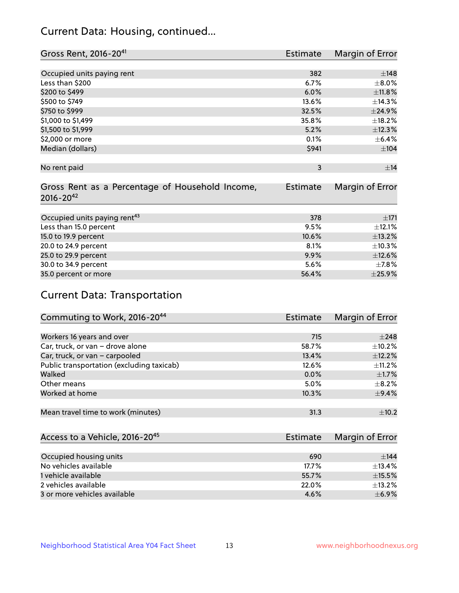# Current Data: Housing, continued...

| Gross Rent, 2016-20 <sup>41</sup>               | <b>Estimate</b> | Margin of Error |
|-------------------------------------------------|-----------------|-----------------|
|                                                 |                 |                 |
| Occupied units paying rent                      | 382             | $\pm$ 148       |
| Less than \$200                                 | 6.7%            | $\pm 8.0\%$     |
| \$200 to \$499                                  | 6.0%            | ±11.8%          |
| \$500 to \$749                                  | 13.6%           | ±14.3%          |
| \$750 to \$999                                  | 32.5%           | ±24.9%          |
| \$1,000 to \$1,499                              | 35.8%           | ±18.2%          |
| \$1,500 to \$1,999                              | 5.2%            | ±12.3%          |
| \$2,000 or more                                 | 0.1%            | $\pm$ 6.4%      |
| Median (dollars)                                | \$941           | $\pm 104$       |
|                                                 |                 |                 |
| No rent paid                                    | 3               | ±14             |
|                                                 |                 |                 |
| Gross Rent as a Percentage of Household Income, | <b>Estimate</b> | Margin of Error |
| $2016 - 20^{42}$                                |                 |                 |
|                                                 |                 |                 |
| Occupied units paying rent <sup>43</sup>        | 378             | $\pm 171$       |
| Less than 15.0 percent                          | 9.5%            | ±12.1%          |
| 15.0 to 19.9 percent                            | 10.6%           | ±13.2%          |
| 20.0 to 24.9 percent                            | 8.1%            | ±10.3%          |
| 25.0 to 29.9 percent                            | 9.9%            | $\pm$ 12.6%     |
| 30.0 to 34.9 percent                            | 5.6%            | $\pm$ 7.8%      |
| 35.0 percent or more                            | 56.4%           | ±25.9%          |

# Current Data: Transportation

| Commuting to Work, 2016-20 <sup>44</sup>  | Estimate | Margin of Error |
|-------------------------------------------|----------|-----------------|
|                                           |          |                 |
| Workers 16 years and over                 | 715      | $\pm 248$       |
| Car, truck, or van - drove alone          | 58.7%    | $\pm$ 10.2%     |
| Car, truck, or van - carpooled            | 13.4%    | $\pm$ 12.2%     |
| Public transportation (excluding taxicab) | 12.6%    | $\pm$ 11.2%     |
| Walked                                    | 0.0%     | $\pm$ 1.7%      |
| Other means                               | 5.0%     | $\pm$ 8.2%      |
| Worked at home                            | 10.3%    | ±9.4%           |
|                                           |          |                 |
| Mean travel time to work (minutes)        | 31.3     | $\pm$ 10.2      |

| Access to a Vehicle, 2016-20 <sup>45</sup> | Estimate | Margin of Error |
|--------------------------------------------|----------|-----------------|
|                                            |          |                 |
| Occupied housing units                     | 690      | $+144$          |
| No vehicles available                      | 17.7%    | $+13.4%$        |
| 1 vehicle available                        | 55.7%    | $\pm$ 15.5%     |
| 2 vehicles available                       | 22.0%    | $+13.2%$        |
| 3 or more vehicles available               | 4.6%     | $+6.9%$         |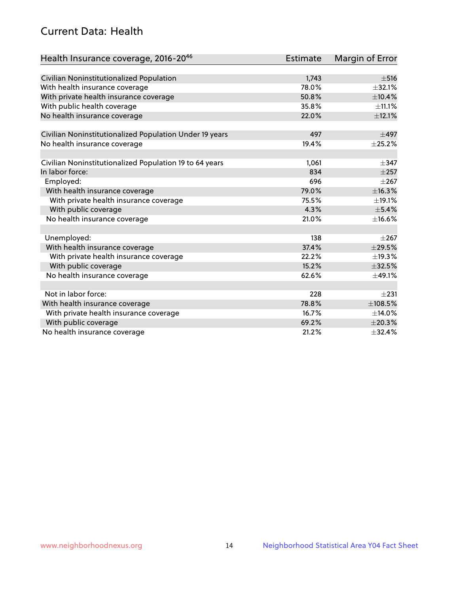# Current Data: Health

| Health Insurance coverage, 2016-2046                    | <b>Estimate</b> | Margin of Error |
|---------------------------------------------------------|-----------------|-----------------|
|                                                         |                 |                 |
| Civilian Noninstitutionalized Population                | 1,743           | $\pm$ 516       |
| With health insurance coverage                          | 78.0%           | ±32.1%          |
| With private health insurance coverage                  | 50.8%           | ±10.4%          |
| With public health coverage                             | 35.8%           | ±11.1%          |
| No health insurance coverage                            | 22.0%           | ±12.1%          |
| Civilian Noninstitutionalized Population Under 19 years | 497             | $\pm$ 497       |
| No health insurance coverage                            | 19.4%           | $\pm 25.2\%$    |
|                                                         |                 |                 |
| Civilian Noninstitutionalized Population 19 to 64 years | 1,061           | $\pm$ 347       |
| In labor force:                                         | 834             | $\pm 257$       |
| Employed:                                               | 696             | $\pm 267$       |
| With health insurance coverage                          | 79.0%           | ±16.3%          |
| With private health insurance coverage                  | 75.5%           | ±19.1%          |
| With public coverage                                    | 4.3%            | ±5.4%           |
| No health insurance coverage                            | 21.0%           | ±16.6%          |
|                                                         |                 |                 |
| Unemployed:                                             | 138             | $\pm 267$       |
| With health insurance coverage                          | 37.4%           | $\pm$ 29.5%     |
| With private health insurance coverage                  | 22.2%           | ±19.3%          |
| With public coverage                                    | 15.2%           | ±32.5%          |
| No health insurance coverage                            | 62.6%           | ±49.1%          |
|                                                         |                 |                 |
| Not in labor force:                                     | 228             | $\pm 231$       |
| With health insurance coverage                          | 78.8%           | ±108.5%         |
| With private health insurance coverage                  | 16.7%           | ±14.0%          |
| With public coverage                                    | 69.2%           | ±20.3%          |
| No health insurance coverage                            | 21.2%           | ±32.4%          |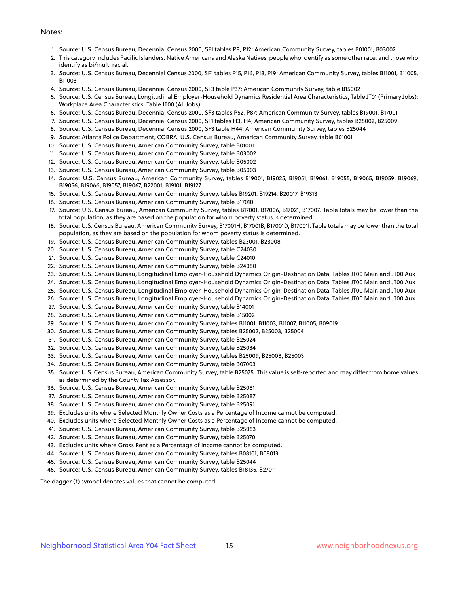#### Notes:

- 1. Source: U.S. Census Bureau, Decennial Census 2000, SF1 tables P8, P12; American Community Survey, tables B01001, B03002
- 2. This category includes Pacific Islanders, Native Americans and Alaska Natives, people who identify as some other race, and those who identify as bi/multi racial.
- 3. Source: U.S. Census Bureau, Decennial Census 2000, SF1 tables P15, P16, P18, P19; American Community Survey, tables B11001, B11005, B11003
- 4. Source: U.S. Census Bureau, Decennial Census 2000, SF3 table P37; American Community Survey, table B15002
- 5. Source: U.S. Census Bureau, Longitudinal Employer-Household Dynamics Residential Area Characteristics, Table JT01 (Primary Jobs); Workplace Area Characteristics, Table JT00 (All Jobs)
- 6. Source: U.S. Census Bureau, Decennial Census 2000, SF3 tables P52, P87; American Community Survey, tables B19001, B17001
- 7. Source: U.S. Census Bureau, Decennial Census 2000, SF1 tables H3, H4; American Community Survey, tables B25002, B25009
- 8. Source: U.S. Census Bureau, Decennial Census 2000, SF3 table H44; American Community Survey, tables B25044
- 9. Source: Atlanta Police Department, COBRA; U.S. Census Bureau, American Community Survey, table B01001
- 10. Source: U.S. Census Bureau, American Community Survey, table B01001
- 11. Source: U.S. Census Bureau, American Community Survey, table B03002
- 12. Source: U.S. Census Bureau, American Community Survey, table B05002
- 13. Source: U.S. Census Bureau, American Community Survey, table B05003
- 14. Source: U.S. Census Bureau, American Community Survey, tables B19001, B19025, B19051, B19061, B19055, B19065, B19059, B19069, B19056, B19066, B19057, B19067, B22001, B19101, B19127
- 15. Source: U.S. Census Bureau, American Community Survey, tables B19201, B19214, B20017, B19313
- 16. Source: U.S. Census Bureau, American Community Survey, table B17010
- 17. Source: U.S. Census Bureau, American Community Survey, tables B17001, B17006, B17021, B17007. Table totals may be lower than the total population, as they are based on the population for whom poverty status is determined.
- 18. Source: U.S. Census Bureau, American Community Survey, B17001H, B17001B, B17001D, B17001I. Table totals may be lower than the total population, as they are based on the population for whom poverty status is determined.
- 19. Source: U.S. Census Bureau, American Community Survey, tables B23001, B23008
- 20. Source: U.S. Census Bureau, American Community Survey, table C24030
- 21. Source: U.S. Census Bureau, American Community Survey, table C24010
- 22. Source: U.S. Census Bureau, American Community Survey, table B24080
- 23. Source: U.S. Census Bureau, Longitudinal Employer-Household Dynamics Origin-Destination Data, Tables JT00 Main and JT00 Aux
- 24. Source: U.S. Census Bureau, Longitudinal Employer-Household Dynamics Origin-Destination Data, Tables JT00 Main and JT00 Aux
- 25. Source: U.S. Census Bureau, Longitudinal Employer-Household Dynamics Origin-Destination Data, Tables JT00 Main and JT00 Aux
- 26. Source: U.S. Census Bureau, Longitudinal Employer-Household Dynamics Origin-Destination Data, Tables JT00 Main and JT00 Aux
- 27. Source: U.S. Census Bureau, American Community Survey, table B14001
- 28. Source: U.S. Census Bureau, American Community Survey, table B15002
- 29. Source: U.S. Census Bureau, American Community Survey, tables B11001, B11003, B11007, B11005, B09019
- 30. Source: U.S. Census Bureau, American Community Survey, tables B25002, B25003, B25004
- 31. Source: U.S. Census Bureau, American Community Survey, table B25024
- 32. Source: U.S. Census Bureau, American Community Survey, table B25034
- 33. Source: U.S. Census Bureau, American Community Survey, tables B25009, B25008, B25003
- 34. Source: U.S. Census Bureau, American Community Survey, table B07003
- 35. Source: U.S. Census Bureau, American Community Survey, table B25075. This value is self-reported and may differ from home values as determined by the County Tax Assessor.
- 36. Source: U.S. Census Bureau, American Community Survey, table B25081
- 37. Source: U.S. Census Bureau, American Community Survey, table B25087
- 38. Source: U.S. Census Bureau, American Community Survey, table B25091
- 39. Excludes units where Selected Monthly Owner Costs as a Percentage of Income cannot be computed.
- 40. Excludes units where Selected Monthly Owner Costs as a Percentage of Income cannot be computed.
- 41. Source: U.S. Census Bureau, American Community Survey, table B25063
- 42. Source: U.S. Census Bureau, American Community Survey, table B25070
- 43. Excludes units where Gross Rent as a Percentage of Income cannot be computed.
- 44. Source: U.S. Census Bureau, American Community Survey, tables B08101, B08013
- 45. Source: U.S. Census Bureau, American Community Survey, table B25044
- 46. Source: U.S. Census Bureau, American Community Survey, tables B18135, B27011

The dagger (†) symbol denotes values that cannot be computed.